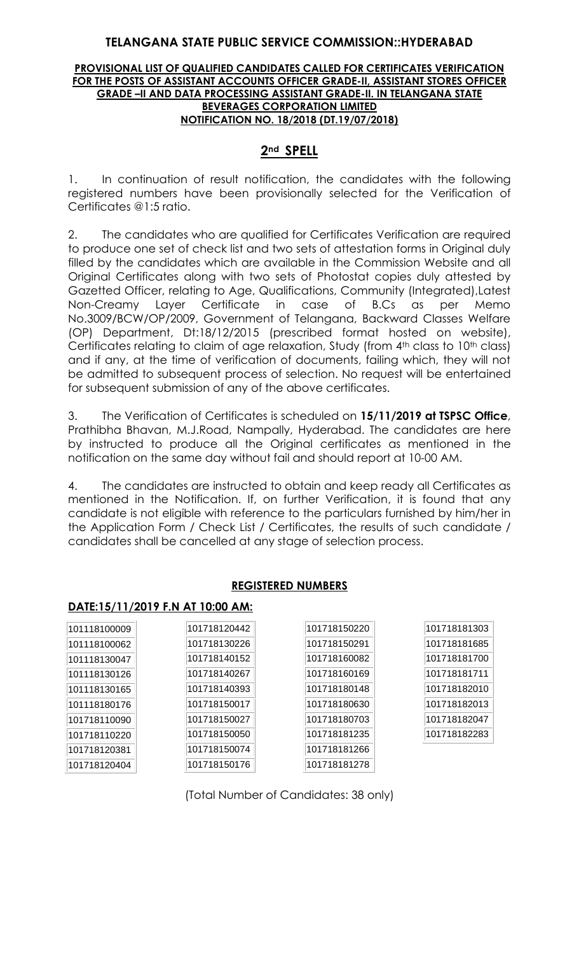### **TELANGANA STATE PUBLIC SERVICE COMMISSION::HYDERABAD**

#### **PROVISIONAL LIST OF QUALIFIED CANDIDATES CALLED FOR CERTIFICATES VERIFICATION FOR THE POSTS OF ASSISTANT ACCOUNTS OFFICER GRADE-II, ASSISTANT STORES OFFICER GRADE –II AND DATA PROCESSING ASSISTANT GRADE-II. IN TELANGANA STATE BEVERAGES CORPORATION LIMITED NOTIFICATION NO. 18/2018 (DT.19/07/2018)**

# **2nd SPELL**

1. In continuation of result notification, the candidates with the following registered numbers have been provisionally selected for the Verification of Certificates @1:5 ratio.

2. The candidates who are qualified for Certificates Verification are required to produce one set of check list and two sets of attestation forms in Original duly filled by the candidates which are available in the Commission Website and all Original Certificates along with two sets of Photostat copies duly attested by Gazetted Officer, relating to Age, Qualifications, Community (Integrated),Latest Non-Creamy Layer Certificate in case of B.Cs as per Memo No.3009/BCW/OP/2009, Government of Telangana, Backward Classes Welfare (OP) Department, Dt:18/12/2015 (prescribed format hosted on website), Certificates relating to claim of age relaxation, Study (from 4<sup>th</sup> class to 10<sup>th</sup> class) and if any, at the time of verification of documents, failing which, they will not be admitted to subsequent process of selection. No request will be entertained for subsequent submission of any of the above certificates.

3. The Verification of Certificates is scheduled on **15/11/2019 at TSPSC Office**, Prathibha Bhavan, M.J.Road, Nampally, Hyderabad. The candidates are here by instructed to produce all the Original certificates as mentioned in the notification on the same day without fail and should report at 10-00 AM.

4. The candidates are instructed to obtain and keep ready all Certificates as mentioned in the Notification. If, on further Verification, it is found that any candidate is not eligible with reference to the particulars furnished by him/her in the Application Form / Check List / Certificates, the results of such candidate / candidates shall be cancelled at any stage of selection process.

## **REGISTERED NUMBERS**

### **DATE:15/11/2019 F.N AT 10:00 AM:**

| 101118100009 | 101718120442 | 101718150220 | 101718181303 |
|--------------|--------------|--------------|--------------|
| 101118100062 | 101718130226 | 101718150291 | 101718181685 |
| 101118130047 | 101718140152 | 101718160082 | 101718181700 |
| 101118130126 | 101718140267 | 101718160169 | 101718181711 |
| 101118130165 | 101718140393 | 101718180148 | 101718182010 |
| 101118180176 | 101718150017 | 101718180630 | 101718182013 |
| 101718110090 | 101718150027 | 101718180703 | 101718182047 |
| 101718110220 | 101718150050 | 101718181235 | 101718182283 |
| 101718120381 | 101718150074 | 101718181266 |              |
| 101718120404 | 101718150176 | 101718181278 |              |

(Total Number of Candidates: 38 only)